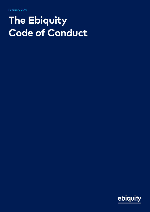## **The Ebiquity Code of Conduct**

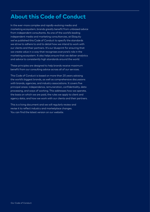## **About this Code of Conduct**

In the ever-more complex and rapidly-evolving media and marketing ecosystem, brands greatly benefit from unbiased advice from independent consultants. As one of the world's leading independent media and marketing consultancies, at Ebiquity we've published this Code of Conduct to specify the standards we strive to adhere to and to detail how we intend to work with our clients and their partners. It's our blueprint for ensuring that we create value in a way that recognises everyone's role in the marketing ecosystem. It also helps ensure that we deliver analytics and advice to consistently high standards around the world.

These principles are designed to help brands receive maximum benefit from our consulting advice across all of our services.

This Code of Conduct is based on more than 20 years advising the world's biggest brands, as well as comprehensive discussions with brands, agencies, and industry associations. It covers five principal areas: independence, remuneration, confidentiality, data processing, and ways of working. This addresses how we operate, the basis on which we are paid, the rules we apply to client and agency data, and how we work with our clients and their partners.

This is a living document and we will regularly review and revise it to reflect industry and marketplace changes. You can find the latest version on our website.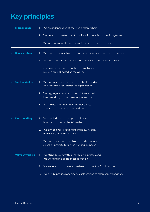## **Key principles**

| $\blacktriangleright$    | Independence           | 1. We are independent of the media supply chain                                                                  |  |
|--------------------------|------------------------|------------------------------------------------------------------------------------------------------------------|--|
|                          |                        | 2. We have no monetary relationships with our clients' media agencies                                            |  |
|                          |                        | We work primarily for brands, not media owners or agencies<br>3.                                                 |  |
|                          | <b>Remuneration</b>    | We receive revenue from the consulting services we provide to brands<br>1.                                       |  |
|                          |                        | We do not benefit from financial incentives based on cost savings<br>2.                                          |  |
|                          |                        | Our fees in the area of contract compliance<br>3.<br>reviews are not based on recoveries                         |  |
| D                        | <b>Confidentiality</b> | We ensure confidentiality of our clients' media data<br>1.<br>and enter into non-disclosure agreements           |  |
|                          |                        | We aggregate our clients' data into our media<br>2.<br>benchmarking pool on an anonymous basis                   |  |
|                          |                        | We maintain confidentiality of our clients'<br>3.<br>financial contract compliance data                          |  |
| ,                        | <b>Data handling</b>   | We regularly review our protocols in respect to<br>1.<br>how we handle our clients' media data                   |  |
|                          |                        | We aim to ensure data handling is swift, easy,<br>2.<br>and accurate for all partners                            |  |
|                          |                        | 3. We do not use pricing data collected in agency<br>selection projects for benchmarking purposes                |  |
| $\overline{\phantom{a}}$ | <b>Ways of working</b> | We strive to work with all parties in a professional<br>$\mathcal{L}$<br>manner and in a spirit of collaboration |  |
|                          |                        | We endeavour to operate timelines that are fair for all parties<br>2.                                            |  |
|                          |                        | We aim to provide meaningful explanations to our recommendations<br>3.                                           |  |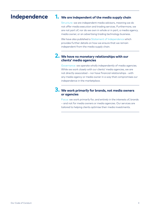### **Independence 1.**

### **We are independent of the media supply chain**

Structure: we are independent media advisors, meaning we do not offer media execution and trading services. Furthermore, we are not part of, nor do we own in whole or in part, a media agency, media owner, or an advertising trading technology business.

We have also published a [Statement of Independence](https://www.ebiquity.com/media/1822/statement-of-independence.pdf) which provides further details on how we ensure that we remain independent from the media supply chain.

#### **We have no monetary relationships with our 2. clients' media agencies**

Governance: we operate wholly independently of media agencies. While we work closely with our clients' media agencies, we are not directly associated – nor have financial relationships - with any media agency or media owner in a way that compromises our independence in the marketplace.

#### **We work primarily for brands, not media owners 3. or agencies**

Focus: we work primarily for, and entirely in the interests of, brands – and not for media owners or media agencies. Our services are tailored to helping clients optimise their media investments.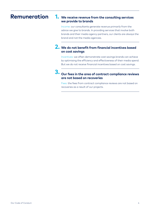## **Remuneration 1.**

#### **We receive revenue from the consulting services we provide to brands**

Income: our consultants generate revenue primarily from the advice we give to brands. In providing services that involve both brands and their media agency partners, our clients are always the brand and not the media agencies.

#### **We do not benefit from financial incentives based 2. on cost savings**

Incentives: we often demonstrate cost savings brands can achieve by optimising the efficiency and effectiveness of their media spend. But we do not receive financial incentives based on cost savings.

#### **Our fees in the area of contract compliance reviews 3. are not based on recoveries**

Fees: the fees from contract compliance reviews are not based on recoveries as a result of our projects.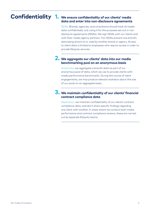#### Confidentiality 1. We ensure confidentiality of our clients' media **data and enter into non-disclosure agreements**

NDAs: Brands, agencies, and consultants should treat all media data confidentially, only using it for the purposes set out in nondisclosure agreements (NDAs). We sign NDAs with our clients and with their media agency partners. Our NDAs prevent one brand's data being shown to or used by another brand or agency. Access to client data is limited to employees who require access in order to provide Ebiquity services.

#### **We aggregate our clients' data into our media 2. benchmarking pool on an anonymous basis**

Anonymity: we aggregate a brand's data as part of our anonymous pool of data, which we use to provide clients with media performance benchmarks. During the course of client engagements, we may produce relevant statistics about the size of our pools on an aggregate basis.

#### **We maintain confidentiality of our clients' financial 3. contract compliance data**

Separation: we maintain confidentiality of our clients' contract compliance data, and don't share specific findings regarding one client with another. In cases where we conduct both media performance and contract compliance reviews, these are carried out by separate Ebiquity teams.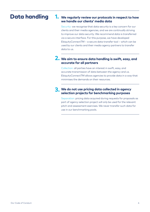## **Data handling 1.**

#### **We regularly review our protocols in respect to how we handle our clients' media data**

Security: we recognise that data security is a key concern for our clients and their media agencies, and we are continually striving to improve our data security. We recommend data is transferred via a secure interface. For this purpose, we have developed EbiquityConnectTM – a secure data transfer tool – which can be used by our clients and their media agency partners to transfer data to us.

#### **We aim to ensure data handling is swift, easy, and 2. accurate for all partners**

Collection: all parties have an interest in swift, easy, and accurate transmission of data between the agency and us. EbiquityConnectTM allows agencies to provide data in a way that minimises the demands on their resources.

#### **We do not use pricing data collected in agency 3. selection projects for benchmarking purposes**

Separation: pricing data acquired during requests for proposals as part of agency selection project will only be used for the relevant pitch and assessment exercises. We never transfer such data for use in our benchmarking pools.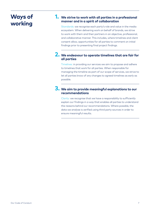## **Ways of working**

#### **We strive to work with all parties in a professional 1. manner and in a spirit of collaboration**

Standards: we recognise each party's role and value in the media ecosystem. When delivering work on behalf of brands, we strive to work with them and their partners in an objective, professional, and collaborative manner. This includes, where timelines and client consent allow, opportunities for all parties to comment on initial findings prior to presenting final project findings.

#### **We endeavour to operate timelines that are fair for 2. all parties**

Timelines: in providing our services we aim to propose and adhere to timelines that work for all parties. When responsible for managing the timeline as part of our scope of services, we strive to let all parties know of any changes to agreed timelines as early as possible.

#### **We aim to provide meaningful explanations to our 3. recommendations**

Clarity: we recognise that we have a responsibility to sufficiently explain our findings in a way that enables all parties to understand the reasons behind our recommendations. Where possible, the data we analyse is verified using third party sources in order to ensure meaningful results.